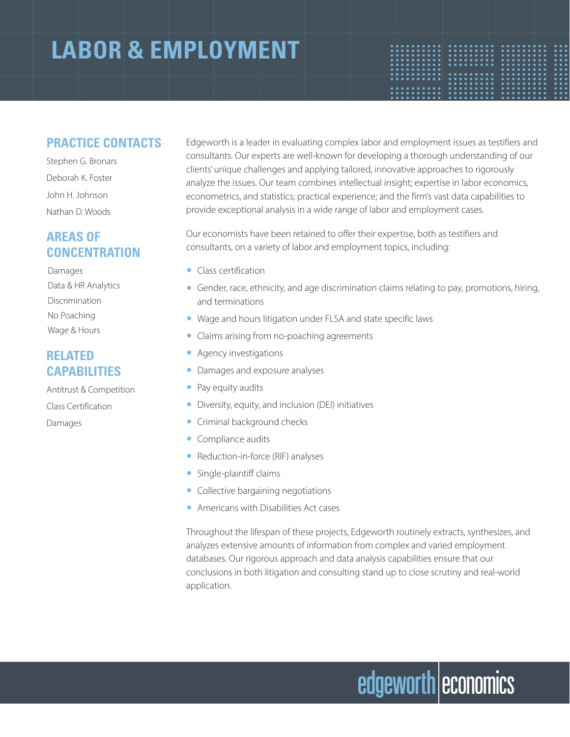### **LABOR & EMPLOYMENT**

#### **PRACTICE CONTACTS**

Stephen G. Bronars Deborah K. Foster John H. Johnson Nathan D. Woods

#### **AREAS OF CONCENTRATION**

Damages Data & HR Analytics Discrimination No Poaching Wage & Hours

#### **RELATED CAPABILITIES**

Antitrust & Competition Class Certification Damages

Edgeworth is a leader in evaluating complex labor and employment issues as testifiers and consultants. Our experts are well-known for developing a thorough understanding of our clients' unique challenges and applying tailored, innovative approaches to rigorously analyze the issues. Our team combines intellectual insight; expertise in labor economics, econometrics, and statistics; practical experience; and the firm's vast data capabilities to provide exceptional analysis in a wide range of labor and employment cases.

Our economists have been retained to offer their expertise, both as testifiers and consultants, on a variety of labor and employment topics, including:

- Class certification
- Gender, race, ethnicity, and age discrimination claims relating to pay, promotions, hiring, and terminations
- Wage and hours litigation under FLSA and state specific laws
- Claims arising from no-poaching agreements
- Agency investigations
- Damages and exposure analyses
- Pay equity audits
- Diversity, equity, and inclusion (DEI) initiatives
- Criminal background checks
- Compliance audits
- Reduction-in-force (RIF) analyses
- Single-plaintiff claims
- Collective bargaining negotiations
- Americans with Disabilities Act cases

Throughout the lifespan of these projects, Edgeworth routinely extracts, synthesizes, and analyzes extensive amounts of information from complex and varied employment databases. Our rigorous approach and data analysis capabilities ensure that our conclusions in both litigation and consulting stand up to close scrutiny and real-world application.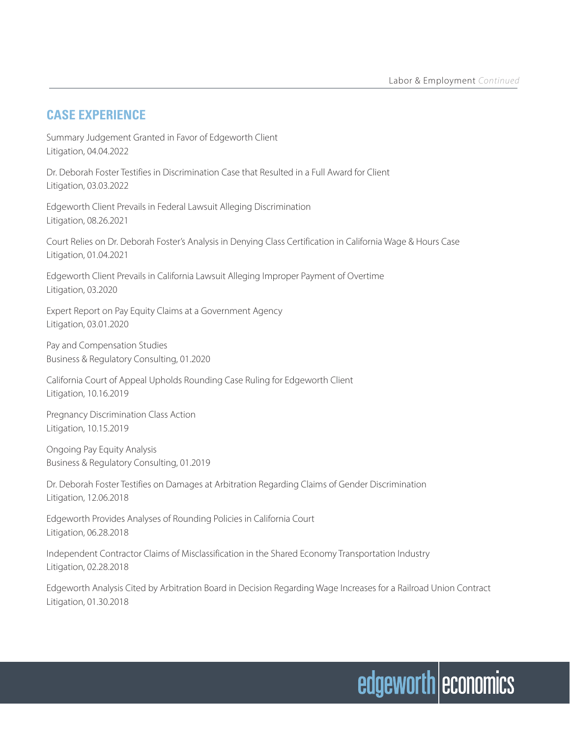#### **CASE EXPERIENCE**

Summary Judgement Granted in Favor of Edgeworth Client Litigation, 04.04.2022

Dr. Deborah Foster Testifies in Discrimination Case that Resulted in a Full Award for Client Litigation, 03.03.2022

Edgeworth Client Prevails in Federal Lawsuit Alleging Discrimination Litigation, 08.26.2021

Court Relies on Dr. Deborah Foster's Analysis in Denying Class Certification in California Wage & Hours Case Litigation, 01.04.2021

Edgeworth Client Prevails in California Lawsuit Alleging Improper Payment of Overtime Litigation, 03.2020

Expert Report on Pay Equity Claims at a Government Agency Litigation, 03.01.2020

Pay and Compensation Studies Business & Regulatory Consulting, 01.2020

California Court of Appeal Upholds Rounding Case Ruling for Edgeworth Client Litigation, 10.16.2019

Pregnancy Discrimination Class Action Litigation, 10.15.2019

Ongoing Pay Equity Analysis Business & Regulatory Consulting, 01.2019

Dr. Deborah Foster Testifies on Damages at Arbitration Regarding Claims of Gender Discrimination Litigation, 12.06.2018

Edgeworth Provides Analyses of Rounding Policies in California Court Litigation, 06.28.2018

Independent Contractor Claims of Misclassification in the Shared Economy Transportation Industry Litigation, 02.28.2018

Edgeworth Analysis Cited by Arbitration Board in Decision Regarding Wage Increases for a Railroad Union Contract Litigation, 01.30.2018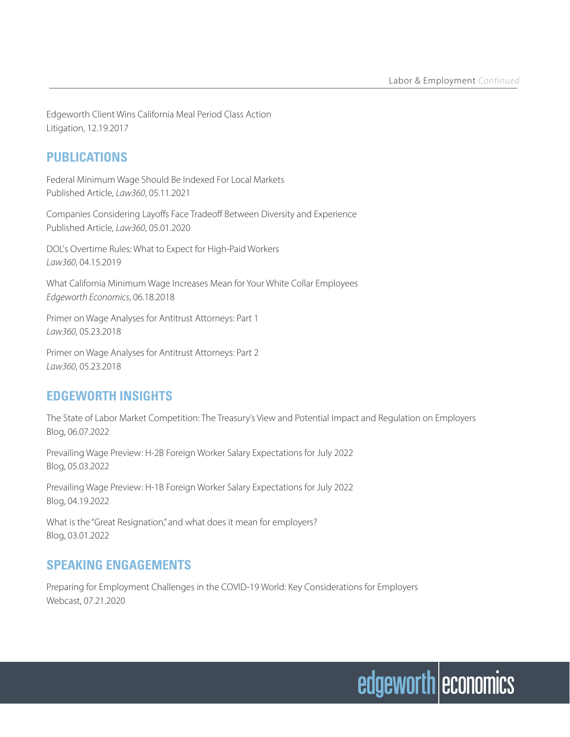Edgeworth Client Wins California Meal Period Class Action Litigation, 12.19.2017

#### **PUBLICATIONS**

Federal Minimum Wage Should Be Indexed For Local Markets Published Article, *Law360*, 05.11.2021

Companies Considering Layoffs Face Tradeoff Between Diversity and Experience Published Article, *Law360*, 05.01.2020

DOL's Overtime Rules: What to Expect for High-Paid Workers *Law360*, 04.15.2019

What California Minimum Wage Increases Mean for Your White Collar Employees *Edgeworth Economics*, 06.18.2018

Primer on Wage Analyses for Antitrust Attorneys: Part 1 *Law360*, 05.23.2018

Primer on Wage Analyses for Antitrust Attorneys: Part 2 *Law360*, 05.23.2018

#### **EDGEWORTH INSIGHTS**

The State of Labor Market Competition: The Treasury's View and Potential Impact and Regulation on Employers Blog, 06.07.2022

Prevailing Wage Preview: H-2B Foreign Worker Salary Expectations for July 2022 Blog, 05.03.2022

Prevailing Wage Preview: H-1B Foreign Worker Salary Expectations for July 2022 Blog, 04.19.2022

What is the "Great Resignation," and what does it mean for employers? Blog, 03.01.2022

#### **SPEAKING ENGAGEMENTS**

Preparing for Employment Challenges in the COVID-19 World: Key Considerations for Employers Webcast, 07.21.2020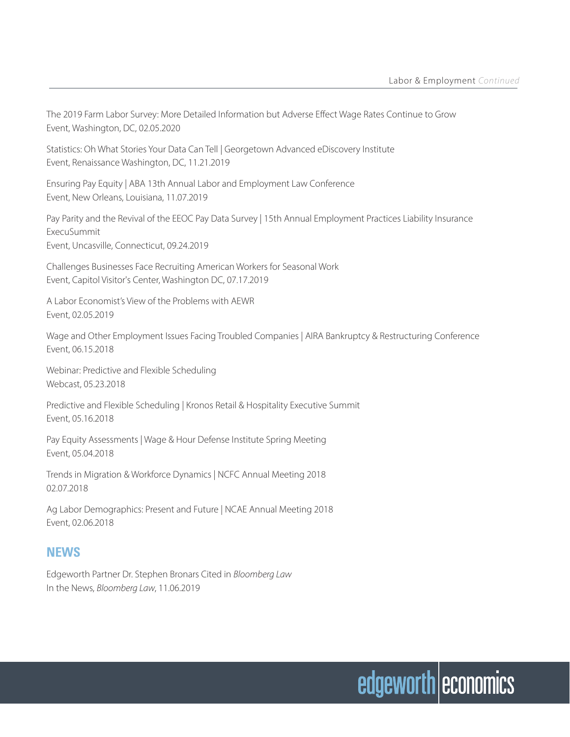The 2019 Farm Labor Survey: More Detailed Information but Adverse Effect Wage Rates Continue to Grow Event, Washington, DC, 02.05.2020

Statistics: Oh What Stories Your Data Can Tell | Georgetown Advanced eDiscovery Institute Event, Renaissance Washington, DC, 11.21.2019

Ensuring Pay Equity | ABA 13th Annual Labor and Employment Law Conference Event, New Orleans, Louisiana, 11.07.2019

Pay Parity and the Revival of the EEOC Pay Data Survey | 15th Annual Employment Practices Liability Insurance ExecuSummit Event, Uncasville, Connecticut, 09.24.2019

Challenges Businesses Face Recruiting American Workers for Seasonal Work Event, Capitol Visitor's Center, Washington DC, 07.17.2019

A Labor Economist's View of the Problems with AEWR Event, 02.05.2019

Wage and Other Employment Issues Facing Troubled Companies | AIRA Bankruptcy & Restructuring Conference Event, 06.15.2018

Webinar: Predictive and Flexible Scheduling Webcast, 05.23.2018

Predictive and Flexible Scheduling | Kronos Retail & Hospitality Executive Summit Event, 05.16.2018

Pay Equity Assessments | Wage & Hour Defense Institute Spring Meeting Event, 05.04.2018

Trends in Migration & Workforce Dynamics | NCFC Annual Meeting 2018 02.07.2018

Ag Labor Demographics: Present and Future | NCAE Annual Meeting 2018 Event, 02.06.2018

#### **NEWS**

Edgeworth Partner Dr. Stephen Bronars Cited in *Bloomberg Law* In the News, *Bloomberg Law*, 11.06.2019